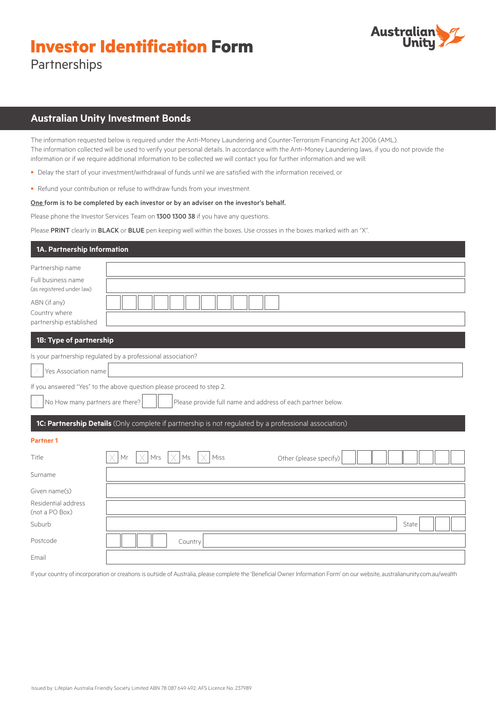# **Investor Identification Form** Partnerships



# **Australian Unity Investment Bonds**

The information requested below is required under the Anti-Money Laundering and Counter-Terrorism Financing Act 2006 (AML). The information collected will be used to verify your personal details. In accordance with the Anti-Money Laundering laws, if you do not provide the information or if we require additional information to be collected we will contact you for further information and we will:

- Delay the start of your investment/withdrawal of funds until we are satisfied with the information received, or
- Refund your contribution or refuse to withdraw funds from your investment.

### One form is to be completed by each investor or by an adviser on the investor's behalf.

Please phone the Investor Services Team on 1300 1300 38 if you have any questions.

Please PRINT clearly in BLACK or BLUE pen keeping well within the boxes. Use crosses in the boxes marked with an "X".

| 1A. Partnership Information                                                                                  |                                                                       |  |  |
|--------------------------------------------------------------------------------------------------------------|-----------------------------------------------------------------------|--|--|
| Partnership name                                                                                             |                                                                       |  |  |
| Full business name<br>(as registered under law)                                                              |                                                                       |  |  |
| ABN (if any)                                                                                                 |                                                                       |  |  |
| Country where<br>partnership established                                                                     |                                                                       |  |  |
| 1B: Type of partnership                                                                                      |                                                                       |  |  |
|                                                                                                              | Is your partnership regulated by a professional association?          |  |  |
| Yes Association name                                                                                         |                                                                       |  |  |
|                                                                                                              | If you answered "Yes" to the above question please proceed to step 2. |  |  |
| No How many partners are there?<br>Please provide full name and address of each partner below.               |                                                                       |  |  |
| <b>1C: Partnership Details</b> (Only complete if partnership is not regulated by a professional association) |                                                                       |  |  |
| <b>Partner1</b>                                                                                              |                                                                       |  |  |
| Title                                                                                                        | Mrs<br>Mr<br>Miss<br>Ms<br>Other (please specify)                     |  |  |
| Surname                                                                                                      |                                                                       |  |  |
| Given name(s)                                                                                                |                                                                       |  |  |
| Residential address<br>(not a PO Box)                                                                        |                                                                       |  |  |
| Suburb                                                                                                       | State                                                                 |  |  |
| Postcode                                                                                                     | Country                                                               |  |  |
| Email                                                                                                        |                                                                       |  |  |

If your country of incorporation or creations is outside of Australia, please complete the 'Beneficial Owner Information Form' on our website, australianunity.com.au/wealth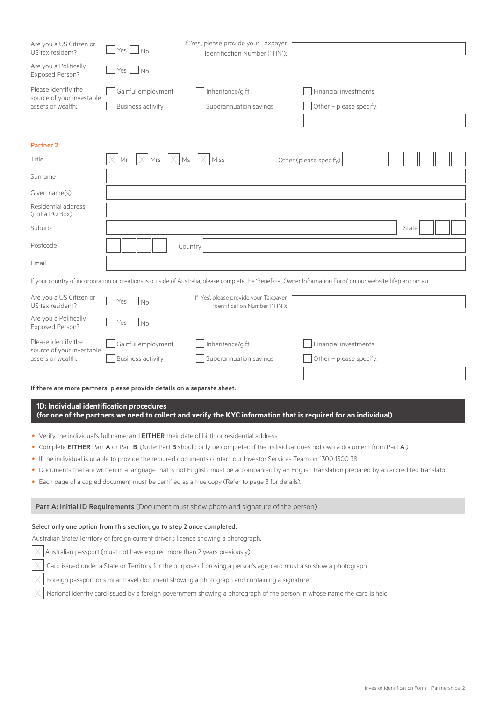| Are you a US Citizen or<br>US tax resident?                                                                                                                | Yes<br>No                                                                                    | If 'Yes', please provide your Taxpayer<br>Identification Number ('TIN'): |                                                                                                                                                                |  |
|------------------------------------------------------------------------------------------------------------------------------------------------------------|----------------------------------------------------------------------------------------------|--------------------------------------------------------------------------|----------------------------------------------------------------------------------------------------------------------------------------------------------------|--|
| Are you a Politically<br><b>Exposed Person?</b>                                                                                                            | Yes  <br><b>No</b>                                                                           |                                                                          |                                                                                                                                                                |  |
| Please identify the<br>source of your investable                                                                                                           | Gainful employment                                                                           | Inheritance/gift                                                         | Financial investments                                                                                                                                          |  |
| assets or wealth:                                                                                                                                          | <b>Business activity</b>                                                                     | Superannuation savings                                                   | Other - please specify:                                                                                                                                        |  |
|                                                                                                                                                            |                                                                                              |                                                                          |                                                                                                                                                                |  |
| <b>Partner 2</b>                                                                                                                                           |                                                                                              |                                                                          |                                                                                                                                                                |  |
| Title                                                                                                                                                      | Мr<br>Mrs                                                                                    | Ms<br>Miss                                                               | Other (please specify)                                                                                                                                         |  |
| Surname                                                                                                                                                    |                                                                                              |                                                                          |                                                                                                                                                                |  |
| Given name(s)                                                                                                                                              |                                                                                              |                                                                          |                                                                                                                                                                |  |
| Residential address<br>(not a PO Box)                                                                                                                      |                                                                                              |                                                                          |                                                                                                                                                                |  |
| Suburb                                                                                                                                                     |                                                                                              |                                                                          | State                                                                                                                                                          |  |
| Postcode                                                                                                                                                   |                                                                                              | Country                                                                  |                                                                                                                                                                |  |
| Email                                                                                                                                                      |                                                                                              |                                                                          |                                                                                                                                                                |  |
|                                                                                                                                                            |                                                                                              |                                                                          | If your country of incorporation or creations is outside of Australia, please complete the 'Beneficial Owner Information Form' on our website, lifeplan.com.au |  |
| Are you a US Citizen or<br>US tax resident?                                                                                                                | If 'Yes', please provide your Taxpayer<br>Yes<br><b>No</b><br>Identification Number ('TIN'): |                                                                          |                                                                                                                                                                |  |
| Are you a Politically<br>Exposed Person?                                                                                                                   | <b>Yes</b><br>$\overline{\phantom{1}}$ No                                                    |                                                                          |                                                                                                                                                                |  |
| Please identify the<br>source of your investable                                                                                                           | Gainful employment                                                                           | Inheritance/gift                                                         | Financial investments                                                                                                                                          |  |
| assets or wealth:                                                                                                                                          | <b>Business activity</b>                                                                     | Superannuation savings                                                   | Other - please specify:                                                                                                                                        |  |
|                                                                                                                                                            |                                                                                              |                                                                          |                                                                                                                                                                |  |
| If there are more partners, please provide details on a separate sheet.                                                                                    |                                                                                              |                                                                          |                                                                                                                                                                |  |
| 1D: Individual identification procedures<br>(for one of the partners we need to collect and verify the KYC information that is required for an individual) |                                                                                              |                                                                          |                                                                                                                                                                |  |
| • Verify the individual's full name; and EITHER their date of birth or residential address.                                                                |                                                                                              |                                                                          |                                                                                                                                                                |  |
| • Complete EITHER Part A or Part B. (Note: Part B should only be completed if the individual does not own a document from Part A.)                         |                                                                                              |                                                                          |                                                                                                                                                                |  |
| • If the individual is unable to provide the required documents contact our Investor Services Team on 1300 1300 38.                                        |                                                                                              |                                                                          |                                                                                                                                                                |  |
| • Documents that are written in a language that is not English, must be accompanied by an English translation prepared by an accredited translator.        |                                                                                              |                                                                          |                                                                                                                                                                |  |
| • Each page of a copied document must be certified as a true copy (Refer to page 3 for details).                                                           |                                                                                              |                                                                          |                                                                                                                                                                |  |
| Part A: Initial ID Requirements (Document must show photo and signature of the person)                                                                     |                                                                                              |                                                                          |                                                                                                                                                                |  |

# Select only one option from this section, go to step 2 once completed.

| Australian State/Territory or foreign current driver's licence showing a photograph. |  |
|--------------------------------------------------------------------------------------|--|
| $ \times $ Australian passport (must not have expired more than 2 years previously). |  |

 $\overline{\times}$  Card issued under a State or Territory for the purpose of proving a person's age, card must also show a photograph.

Foreign passport or similar travel document showing a photograph and containing a signature.

X National identity card issued by a foreign government showing a photograph of the person in whose name the card is held.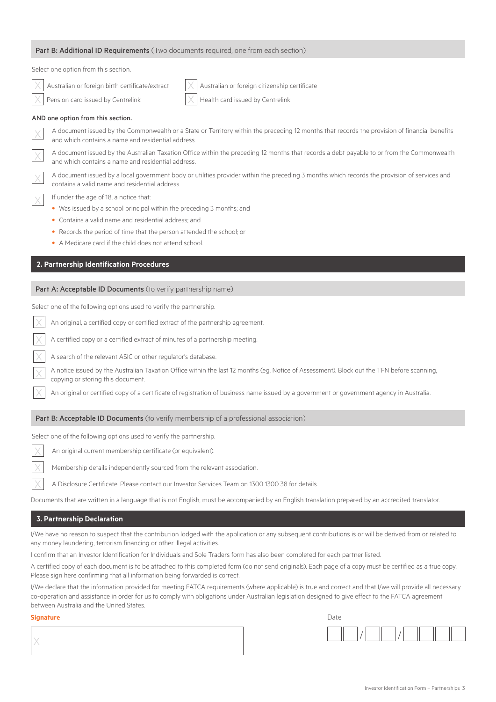| Part B: Additional ID Requirements (Two documents required, one from each section) |  |  |
|------------------------------------------------------------------------------------|--|--|
|------------------------------------------------------------------------------------|--|--|

| Select one option from this section.                                                                                                                                                                                                |  |  |
|-------------------------------------------------------------------------------------------------------------------------------------------------------------------------------------------------------------------------------------|--|--|
| Australian or foreign birth certificate/extract<br>Australian or foreign citizenship certificate                                                                                                                                    |  |  |
| Pension card issued by Centrelink<br>Health card issued by Centrelink                                                                                                                                                               |  |  |
| AND one option from this section.                                                                                                                                                                                                   |  |  |
| A document issued by the Commonwealth or a State or Territory within the preceding 12 months that records the provision of financial benefits<br>and which contains a name and residential address.                                 |  |  |
| A document issued by the Australian Taxation Office within the preceding 12 months that records a debt payable to or from the Commonwealth<br>and which contains a name and residential address.                                    |  |  |
| A document issued by a local government body or utilities provider within the preceding 3 months which records the provision of services and<br>contains a valid name and residential address.                                      |  |  |
| If under the age of 18, a notice that:                                                                                                                                                                                              |  |  |
| • Was issued by a school principal within the preceding 3 months; and<br>Contains a valid name and residential address: and                                                                                                         |  |  |
| ٠<br>• Records the period of time that the person attended the school; or                                                                                                                                                           |  |  |
| • A Medicare card if the child does not attend school.                                                                                                                                                                              |  |  |
|                                                                                                                                                                                                                                     |  |  |
| 2. Partnership Identification Procedures                                                                                                                                                                                            |  |  |
| Part A: Acceptable ID Documents (to verify partnership name)                                                                                                                                                                        |  |  |
| Select one of the following options used to verify the partnership.                                                                                                                                                                 |  |  |
| An original, a certified copy or certified extract of the partnership agreement.                                                                                                                                                    |  |  |
| A certified copy or a certified extract of minutes of a partnership meeting.                                                                                                                                                        |  |  |
| A search of the relevant ASIC or other regulator's database.                                                                                                                                                                        |  |  |
| A notice issued by the Australian Taxation Office within the last 12 months (eg. Notice of Assessment). Block out the TFN before scanning,<br>copying or storing this document.                                                     |  |  |
| An original or certified copy of a certificate of registration of business name issued by a government or government agency in Australia.                                                                                           |  |  |
| Part B: Acceptable ID Documents (to verify membership of a professional association)                                                                                                                                                |  |  |
| Select one of the following options used to verify the partnership.                                                                                                                                                                 |  |  |
| An original current membership certificate (or equivalent).                                                                                                                                                                         |  |  |
| Membership details independently sourced from the relevant association.                                                                                                                                                             |  |  |
| A Disclosure Certificate. Please contact our Investor Services Team on 1300 1300 38 for details.                                                                                                                                    |  |  |
| Documents that are written in a language that is not English, must be accompanied by an English translation prepared by an accredited translator.                                                                                   |  |  |
| <b>3. Partnership Declaration</b>                                                                                                                                                                                                   |  |  |
| I/We have no reason to suspect that the contribution lodged with the application or any subsequent contributions is or will be derived from or related to<br>any money laundering, terrorism financing or other illegal activities. |  |  |
| I confirm that an Investor Identification for Individuals and Sole Traders form has also been completed for each partner listed.                                                                                                    |  |  |

A certified copy of each document is to be attached to this completed form (do not send originals). Each page of a copy must be certified as a true copy. Please sign here confirming that all information being forwarded is correct.

I/We declare that the information provided for meeting FATCA requirements (where applicable) is true and correct and that I/we will provide all necessary co-operation and assistance in order for us to comply with obligations under Australian legislation designed to give effect to the FATCA agreement between Australia and the United States.

#### **Signature** Date

| ignature | Date |
|----------|------|
|          |      |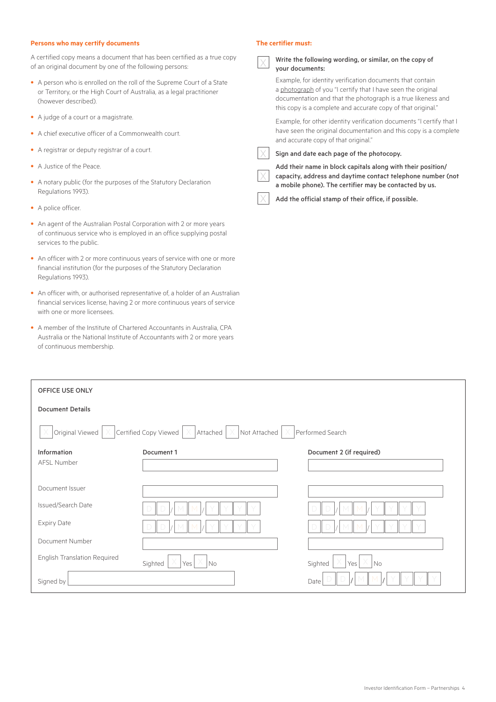#### **Persons who may certify documents**

A certified copy means a document that has been certified as a true copy of an original document by one of the following persons:

- A person who is enrolled on the roll of the Supreme Court of a State or Territory, or the High Court of Australia, as a legal practitioner (however described).
- A judge of a court or a magistrate.
- A chief executive officer of a Commonwealth court.
- A registrar or deputy registrar of a court.
- A Justice of the Peace.
- A notary public (for the purposes of the Statutory Declaration Regulations 1993).
- A police officer.
- An agent of the Australian Postal Corporation with 2 or more years of continuous service who is employed in an office supplying postal services to the public.
- An officer with 2 or more continuous years of service with one or more financial institution (for the purposes of the Statutory Declaration Regulations 1993).
- An officer with, or authorised representative of, a holder of an Australian financial services license, having 2 or more continuous years of service with one or more licensees.
- A member of the Institute of Chartered Accountants in Australia, CPA Australia or the National Institute of Accountants with 2 or more years of continuous membership.

#### **The certifier must:**

| Write the following wording, or similar, on the copy of<br>your documents:                                                                                                                                                                                |  |
|-----------------------------------------------------------------------------------------------------------------------------------------------------------------------------------------------------------------------------------------------------------|--|
| Example, for identity verification documents that contain<br>a photograph of you "I certify that I have seen the original<br>documentation and that the photograph is a true likeness and<br>this copy is a complete and accurate copy of that original." |  |
| Example, for other identity verification documents "I certify that I<br>have seen the original documentation and this copy is a complete<br>and accurate copy of that original."                                                                          |  |
| Sign and date each page of the photocopy.                                                                                                                                                                                                                 |  |
| Add their name in block capitals along with their position/<br>capacity, address and daytime contact telephone number (not<br>a mobile phone). The certifier may be contacted by us.                                                                      |  |

Add the official stamp of their office, if possible.

| <b>OFFICE USE ONLY</b>                                                                                                             |                               |                                            |  |
|------------------------------------------------------------------------------------------------------------------------------------|-------------------------------|--------------------------------------------|--|
| <b>Document Details</b>                                                                                                            |                               |                                            |  |
| Certified Copy Viewed<br>Original Viewed<br>X<br>Attached $\vert \times$<br>Not Attached<br>Performed Search<br>$\times$<br>X<br>X |                               |                                            |  |
| Information                                                                                                                        | Document 1                    | Document 2 (if required)                   |  |
| AFSL Number                                                                                                                        |                               |                                            |  |
| Document Issuer                                                                                                                    |                               |                                            |  |
| Issued/Search Date                                                                                                                 |                               |                                            |  |
| <b>Expiry Date</b>                                                                                                                 |                               |                                            |  |
| Document Number                                                                                                                    |                               |                                            |  |
| <b>English Translation Required</b>                                                                                                | $\times$ No<br>Sighted<br>Yes | X<br>$\times$ $\vert$ No<br>Yes<br>Sighted |  |
| Signed by                                                                                                                          |                               | Date                                       |  |